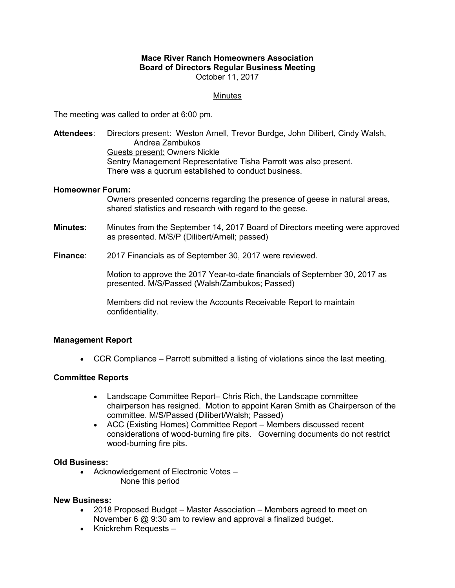## **Mace River Ranch Homeowners Association Board of Directors Regular Business Meeting** October 11, 2017

# Minutes

The meeting was called to order at 6:00 pm.

**Attendees**: Directors present: Weston Arnell, Trevor Burdge, John Dilibert, Cindy Walsh, Andrea Zambukos Guests present: Owners Nickle Sentry Management Representative Tisha Parrott was also present. There was a quorum established to conduct business.

## **Homeowner Forum:**

Owners presented concerns regarding the presence of geese in natural areas, shared statistics and research with regard to the geese.

**Minutes**: Minutes from the September 14, 2017 Board of Directors meeting were approved as presented. M/S/P (Dilibert/Arnell; passed)

**Finance**: 2017 Financials as of September 30, 2017 were reviewed.

Motion to approve the 2017 Year-to-date financials of September 30, 2017 as presented. M/S/Passed (Walsh/Zambukos; Passed)

Members did not review the Accounts Receivable Report to maintain confidentiality.

## **Management Report**

CCR Compliance – Parrott submitted a listing of violations since the last meeting.

## **Committee Reports**

- Landscape Committee Report– Chris Rich, the Landscape committee chairperson has resigned. Motion to appoint Karen Smith as Chairperson of the committee. M/S/Passed (Dilibert/Walsh; Passed)
- ACC (Existing Homes) Committee Report Members discussed recent considerations of wood-burning fire pits. Governing documents do not restrict wood-burning fire pits.

#### **Old Business:**

 Acknowledgement of Electronic Votes – None this period

#### **New Business:**

- 2018 Proposed Budget Master Association Members agreed to meet on November 6 @ 9:30 am to review and approval a finalized budget.
- Knickrehm Requests –